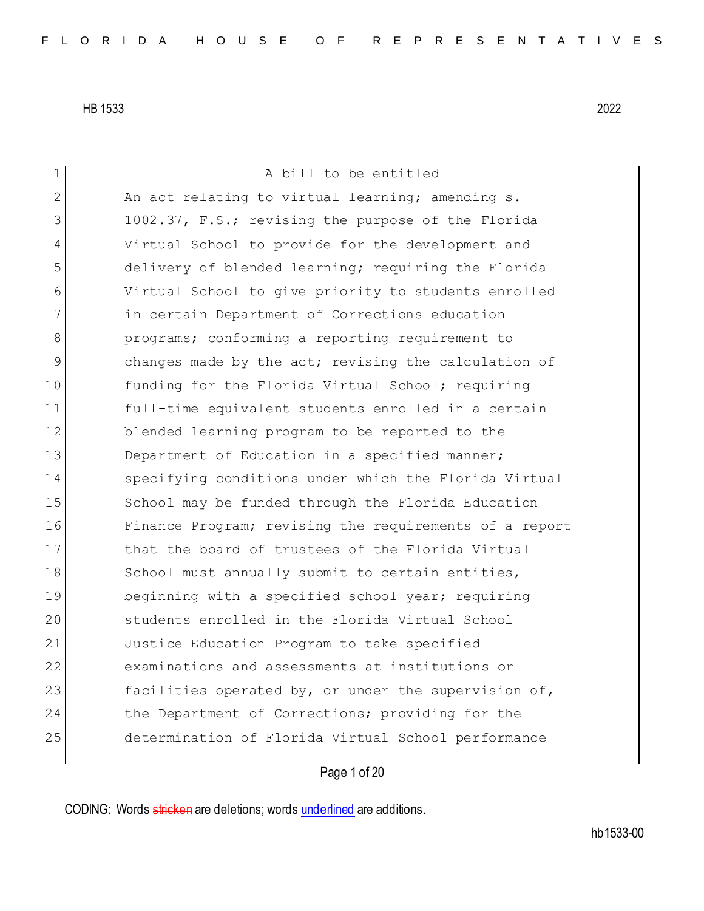1 A bill to be entitled 2 An act relating to virtual learning; amending s. 3 1002.37, F.S.; revising the purpose of the Florida 4 Virtual School to provide for the development and 5 delivery of blended learning; requiring the Florida 6 Virtual School to give priority to students enrolled 7 in certain Department of Corrections education 8 **b** programs; conforming a reporting requirement to 9 3 9 changes made by the act; revising the calculation of 10 funding for the Florida Virtual School; requiring 11 full-time equivalent students enrolled in a certain 12 blended learning program to be reported to the 13 Department of Education in a specified manner; 14 specifying conditions under which the Florida Virtual 15 School may be funded through the Florida Education 16 Finance Program; revising the requirements of a report 17 bhat the board of trustees of the Florida Virtual 18 School must annually submit to certain entities, 19 beginning with a specified school year; requiring 20 Students enrolled in the Florida Virtual School 21 Justice Education Program to take specified 22 examinations and assessments at institutions or 23 facilities operated by, or under the supervision of, 24 the Department of Corrections; providing for the 25 determination of Florida Virtual School performance

Page 1 of 20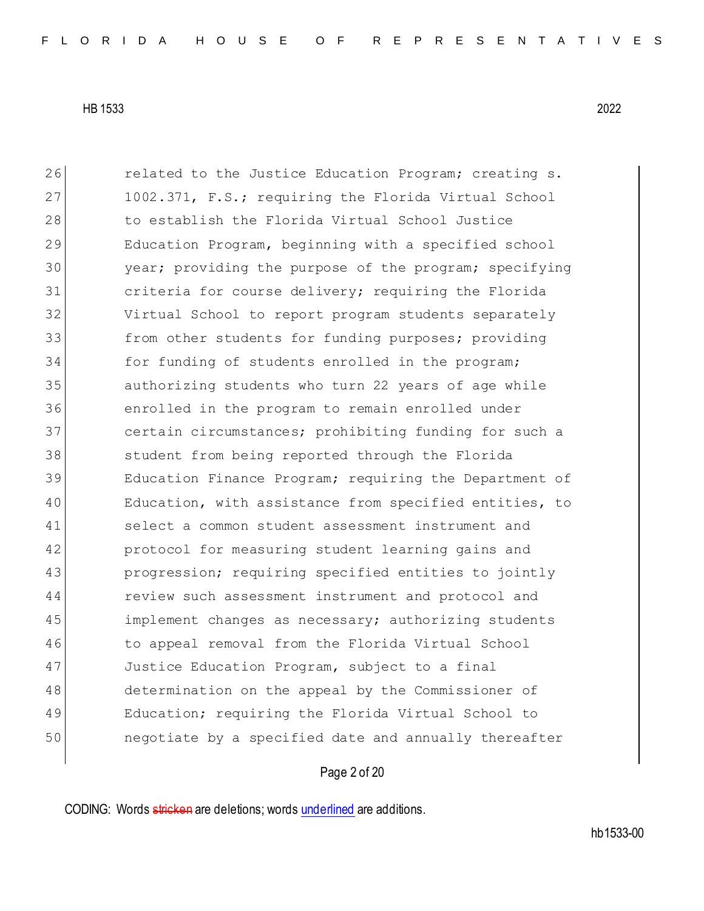26 related to the Justice Education Program; creating s. 27 1002.371, F.S.; requiring the Florida Virtual School 28 to establish the Florida Virtual School Justice 29 Education Program, beginning with a specified school year; providing the purpose of the program; specifying criteria for course delivery; requiring the Florida Virtual School to report program students separately from other students for funding purposes; providing for funding of students enrolled in the program; authorizing students who turn 22 years of age while enrolled in the program to remain enrolled under certain circumstances; prohibiting funding for such a 38 student from being reported through the Florida Education Finance Program; requiring the Department of Education, with assistance from specified entities, to select a common student assessment instrument and protocol for measuring student learning gains and progression; requiring specified entities to jointly review such assessment instrument and protocol and 45 implement changes as necessary; authorizing students 46 to appeal removal from the Florida Virtual School 47 Justice Education Program, subject to a final 48 determination on the appeal by the Commissioner of Education; requiring the Florida Virtual School to negotiate by a specified date and annually thereafter

### Page 2 of 20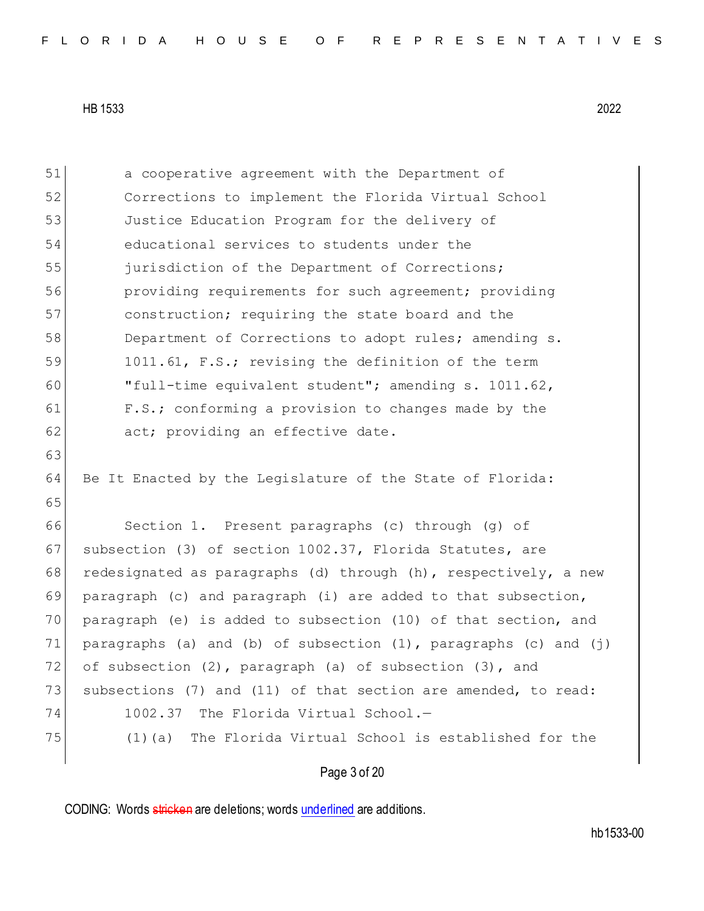| 51 | a cooperative agreement with the Department of                          |
|----|-------------------------------------------------------------------------|
| 52 | Corrections to implement the Florida Virtual School                     |
| 53 | Justice Education Program for the delivery of                           |
| 54 | educational services to students under the                              |
| 55 | jurisdiction of the Department of Corrections;                          |
| 56 | providing requirements for such agreement; providing                    |
| 57 | construction; requiring the state board and the                         |
| 58 | Department of Corrections to adopt rules; amending s.                   |
| 59 | 1011.61, F.S.; revising the definition of the term                      |
| 60 | "full-time equivalent student"; amending s. 1011.62,                    |
| 61 | F.S.; conforming a provision to changes made by the                     |
| 62 | act; providing an effective date.                                       |
| 63 |                                                                         |
| 64 | Be It Enacted by the Legislature of the State of Florida:               |
| 65 |                                                                         |
| 66 | Section 1. Present paragraphs (c) through (g) of                        |
| 67 | subsection (3) of section 1002.37, Florida Statutes, are                |
| 68 | redesignated as paragraphs (d) through (h), respectively, a new         |
| 69 | paragraph (c) and paragraph (i) are added to that subsection,           |
| 70 | paragraph (e) is added to subsection (10) of that section, and          |
| 71 | paragraphs (a) and (b) of subsection $(1)$ , paragraphs $(c)$ and $(j)$ |
| 72 | of subsection (2), paragraph (a) of subsection (3), and                 |
| 73 | subsections (7) and (11) of that section are amended, to read:          |
| 74 | 1002.37 The Florida Virtual School.-                                    |
| 75 | (1)(a) The Florida Virtual School is established for the                |
|    |                                                                         |

Page 3 of 20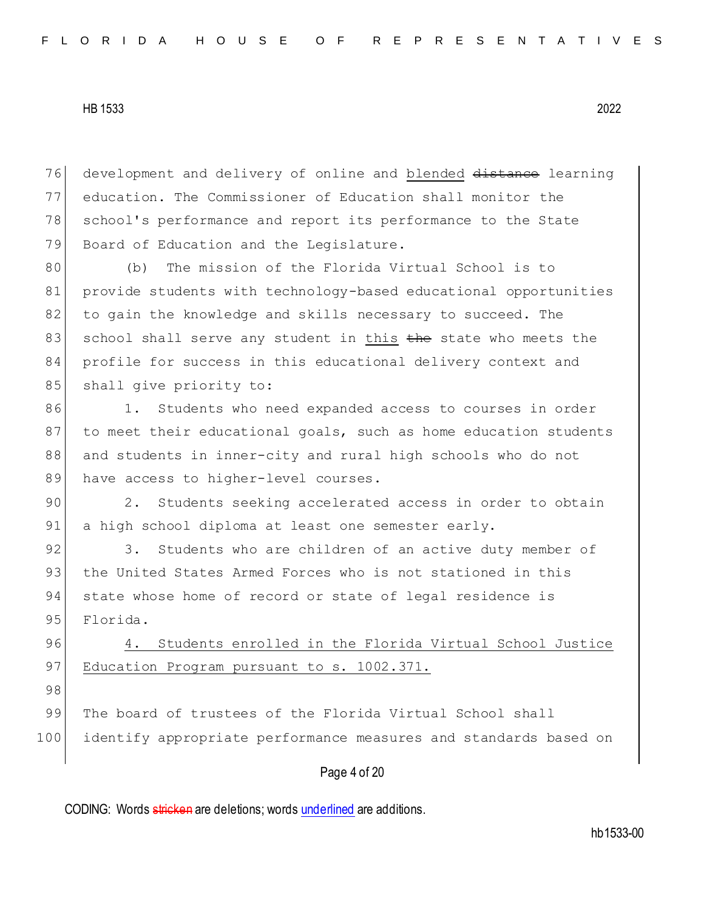76 development and delivery of online and blended distance learning 77 education. The Commissioner of Education shall monitor the 78 school's performance and report its performance to the State 79 Board of Education and the Legislature.

80 (b) The mission of the Florida Virtual School is to 81 provide students with technology-based educational opportunities 82 to gain the knowledge and skills necessary to succeed. The 83 school shall serve any student in this the state who meets the 84 profile for success in this educational delivery context and 85 shall give priority to:

86 1. Students who need expanded access to courses in order 87 to meet their educational goals, such as home education students 88 and students in inner-city and rural high schools who do not 89 have access to higher-level courses.

90 2. Students seeking accelerated access in order to obtain 91 a high school diploma at least one semester early.

92 3. Students who are children of an active duty member of 93 the United States Armed Forces who is not stationed in this 94 state whose home of record or state of legal residence is 95 Florida.

96 4. Students enrolled in the Florida Virtual School Justice 97 Education Program pursuant to s. 1002.371.

98

99 The board of trustees of the Florida Virtual School shall 100 identify appropriate performance measures and standards based on

# Page 4 of 20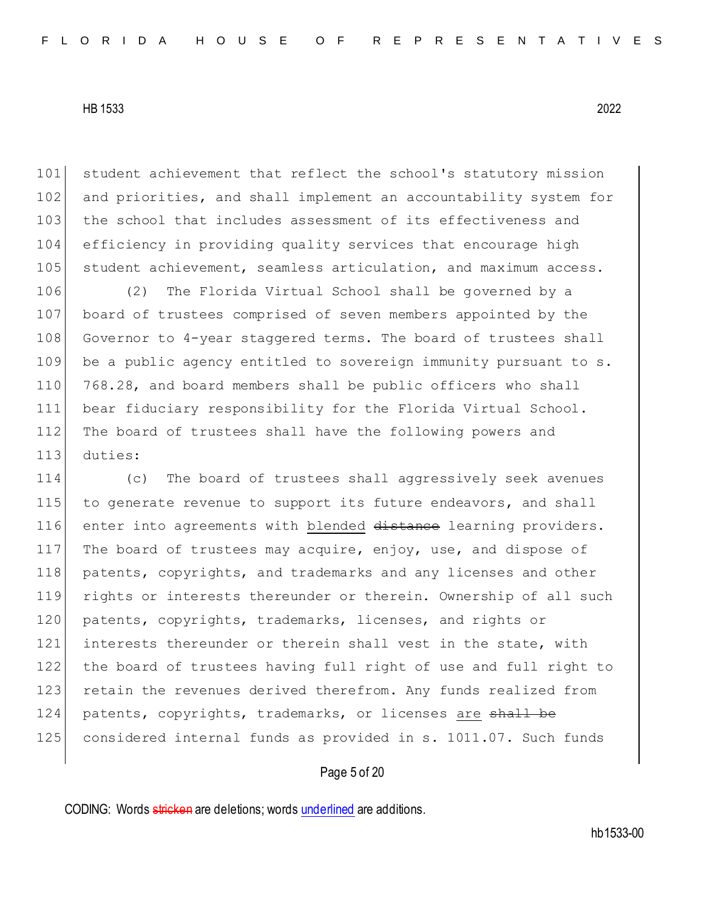101 student achievement that reflect the school's statutory mission 102 and priorities, and shall implement an accountability system for 103 the school that includes assessment of its effectiveness and 104 efficiency in providing quality services that encourage high 105 student achievement, seamless articulation, and maximum access.

 (2) The Florida Virtual School shall be governed by a board of trustees comprised of seven members appointed by the 108 Governor to 4-year staggered terms. The board of trustees shall 109 be a public agency entitled to sovereign immunity pursuant to s. 768.28, and board members shall be public officers who shall bear fiduciary responsibility for the Florida Virtual School. The board of trustees shall have the following powers and 113 duties:

114 (c) The board of trustees shall aggressively seek avenues 115 to generate revenue to support its future endeavors, and shall 116 enter into agreements with blended distance learning providers. 117 The board of trustees may acquire, enjoy, use, and dispose of 118 | patents, copyrights, and trademarks and any licenses and other 119 rights or interests thereunder or therein. Ownership of all such 120 patents, copyrights, trademarks, licenses, and rights or 121 interests thereunder or therein shall vest in the state, with 122 the board of trustees having full right of use and full right to 123 retain the revenues derived therefrom. Any funds realized from 124 patents, copyrights, trademarks, or licenses are shall be 125 considered internal funds as provided in s. 1011.07. Such funds

### Page 5 of 20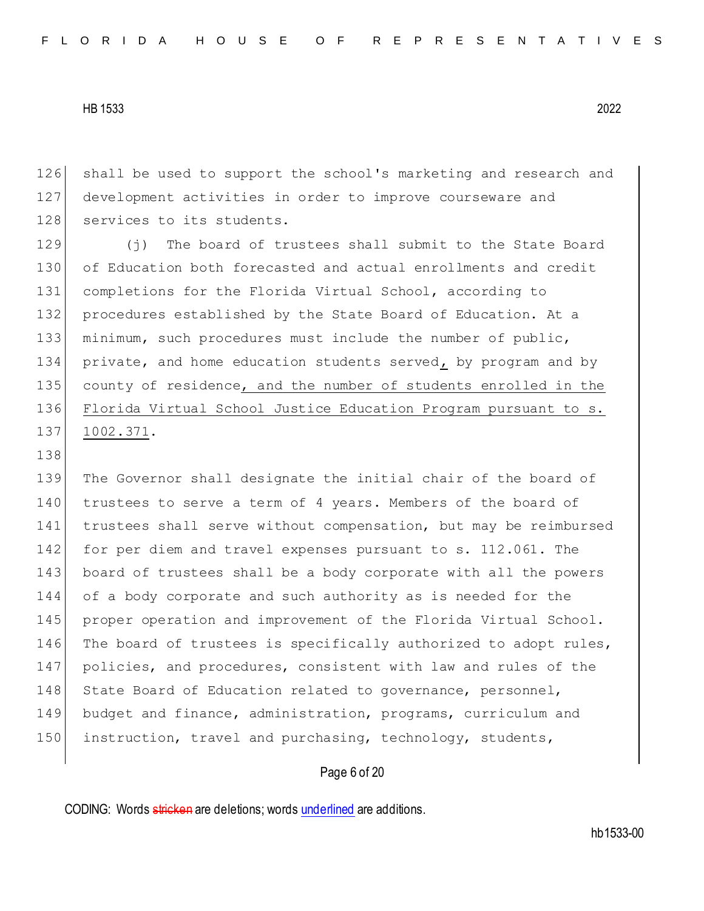138

126 shall be used to support the school's marketing and research and 127 development activities in order to improve courseware and 128 services to its students.

 (j) The board of trustees shall submit to the State Board of Education both forecasted and actual enrollments and credit completions for the Florida Virtual School, according to 132 procedures established by the State Board of Education. At a minimum, such procedures must include the number of public, private, and home education students served, by program and by 135 county of residence, and the number of students enrolled in the Florida Virtual School Justice Education Program pursuant to s. 1002.371.

139 The Governor shall designate the initial chair of the board of 140 trustees to serve a term of 4 years. Members of the board of 141 trustees shall serve without compensation, but may be reimbursed 142 for per diem and travel expenses pursuant to s. 112.061. The 143 board of trustees shall be a body corporate with all the powers 144 of a body corporate and such authority as is needed for the 145 proper operation and improvement of the Florida Virtual School. 146 The board of trustees is specifically authorized to adopt rules, 147 policies, and procedures, consistent with law and rules of the 148 State Board of Education related to governance, personnel, 149 budget and finance, administration, programs, curriculum and 150 instruction, travel and purchasing, technology, students,

#### Page 6 of 20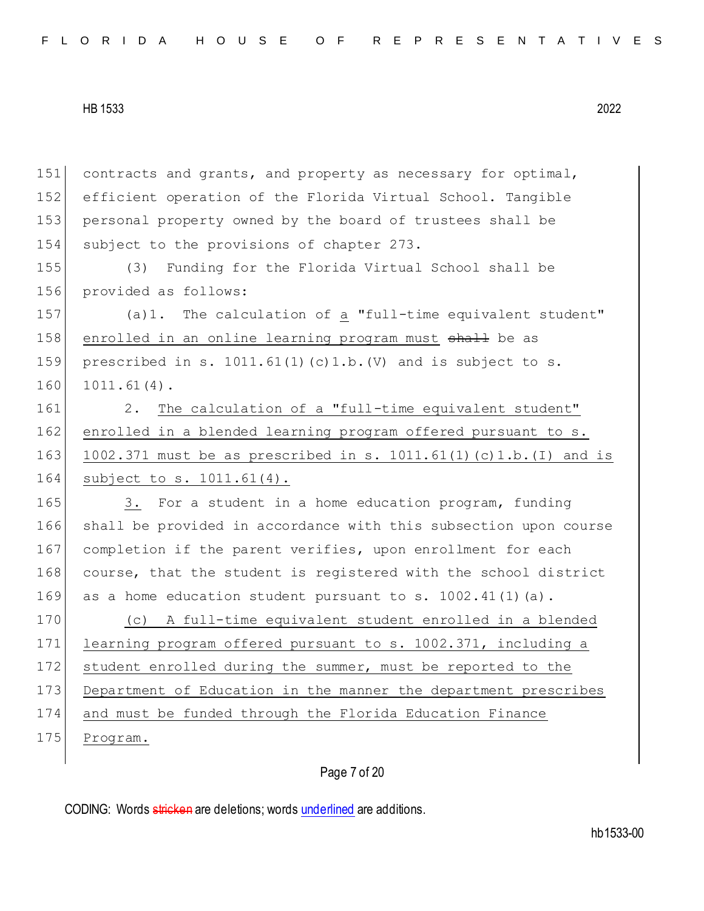| 151 | contracts and grants, and property as necessary for optimal,            |
|-----|-------------------------------------------------------------------------|
| 152 | efficient operation of the Florida Virtual School. Tangible             |
| 153 | personal property owned by the board of trustees shall be               |
| 154 | subject to the provisions of chapter 273.                               |
| 155 | Funding for the Florida Virtual School shall be<br>(3)                  |
| 156 | provided as follows:                                                    |
| 157 | (a) 1. The calculation of a "full-time equivalent student"              |
| 158 | enrolled in an online learning program must shall be as                 |
| 159 | prescribed in s. $1011.61(1)$ (c) $1.b.$ (V) and is subject to s.       |
| 160 | $1011.61(4)$ .                                                          |
| 161 | The calculation of a "full-time equivalent student"<br>2.               |
| 162 | enrolled in a blended learning program offered pursuant to s.           |
| 163 | $1002.371$ must be as prescribed in s. $1011.61(1)$ (c) 1.b. (I) and is |
| 164 | subject to s. 1011.61(4).                                               |
| 165 | 3. For a student in a home education program, funding                   |
| 166 | shall be provided in accordance with this subsection upon course        |
| 167 | completion if the parent verifies, upon enrollment for each             |
| 168 | course, that the student is registered with the school district         |
| 169 | as a home education student pursuant to s. 1002.41(1)(a).               |
| 170 | A full-time equivalent student enrolled in a blended<br>(C)             |
| 171 | learning program offered pursuant to s. 1002.371, including a           |
| 172 | student enrolled during the summer, must be reported to the             |
| 173 | Department of Education in the manner the department prescribes         |
| 174 | and must be funded through the Florida Education Finance                |
| 175 | Program.                                                                |
|     |                                                                         |
|     | Page 7 of 20                                                            |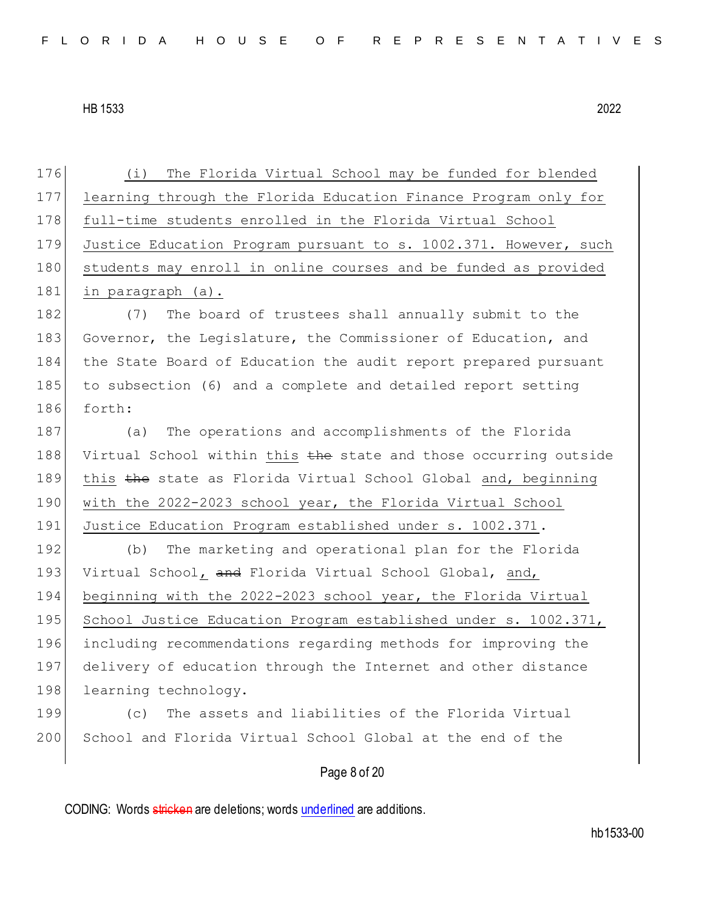176 (i) The Florida Virtual School may be funded for blended 177 learning through the Florida Education Finance Program only for 178 full-time students enrolled in the Florida Virtual School 179 Justice Education Program pursuant to s. 1002.371. However, such 180 students may enroll in online courses and be funded as provided 181 in paragraph (a). 182 (7) The board of trustees shall annually submit to the 183 Governor, the Legislature, the Commissioner of Education, and 184 the State Board of Education the audit report prepared pursuant 185 to subsection (6) and a complete and detailed report setting 186 forth: 187 (a) The operations and accomplishments of the Florida 188 Virtual School within this the state and those occurring outside 189 this the state as Florida Virtual School Global and, beginning 190 with the 2022-2023 school year, the Florida Virtual School 191 Justice Education Program established under s. 1002.371. 192 (b) The marketing and operational plan for the Florida 193 Virtual School, and Florida Virtual School Global, and, 194 beginning with the 2022-2023 school year, the Florida Virtual 195 School Justice Education Program established under s. 1002.371, 196 including recommendations regarding methods for improving the 197 delivery of education through the Internet and other distance 198 learning technology. 199 (c) The assets and liabilities of the Florida Virtual 200 School and Florida Virtual School Global at the end of the

Page 8 of 20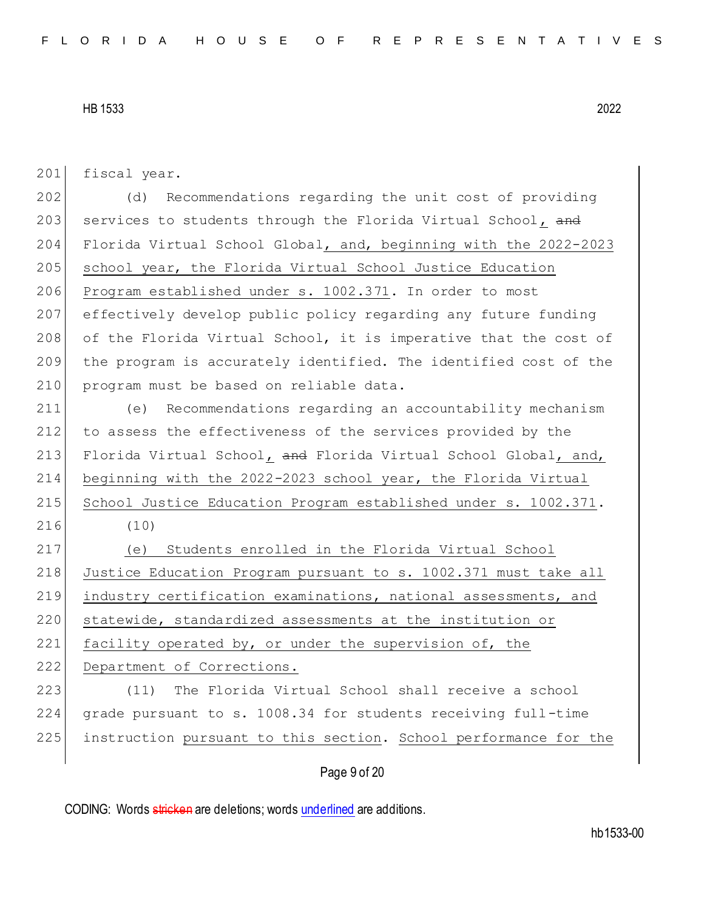| 201 | fiscal year.                                                     |
|-----|------------------------------------------------------------------|
| 202 | Recommendations regarding the unit cost of providing<br>(d)      |
| 203 | services to students through the Florida Virtual School, and     |
| 204 | Florida Virtual School Global, and, beginning with the 2022-2023 |
| 205 | school year, the Florida Virtual School Justice Education        |
| 206 | Program established under s. 1002.371. In order to most          |
| 207 | effectively develop public policy regarding any future funding   |
| 208 | of the Florida Virtual School, it is imperative that the cost of |
| 209 | the program is accurately identified. The identified cost of the |
| 210 | program must be based on reliable data.                          |
| 211 | Recommendations regarding an accountability mechanism<br>(e)     |
| 212 | to assess the effectiveness of the services provided by the      |
| 213 | Florida Virtual School, and Florida Virtual School Global, and,  |
| 214 | beginning with the 2022-2023 school year, the Florida Virtual    |
| 215 | School Justice Education Program established under s. 1002.371.  |
| 216 | (10)                                                             |
| 217 | Students enrolled in the Florida Virtual School<br>(e)           |
| 218 | Justice Education Program pursuant to s. 1002.371 must take all  |
| 219 | industry certification examinations, national assessments, and   |
| 220 | statewide, standardized assessments at the institution or        |
| 221 | facility operated by, or under the supervision of, the           |
| 222 | Department of Corrections.                                       |
| 223 | The Florida Virtual School shall receive a school<br>(11)        |
| 224 | grade pursuant to s. 1008.34 for students receiving full-time    |
| 225 | instruction pursuant to this section. School performance for the |
|     |                                                                  |

Page 9 of 20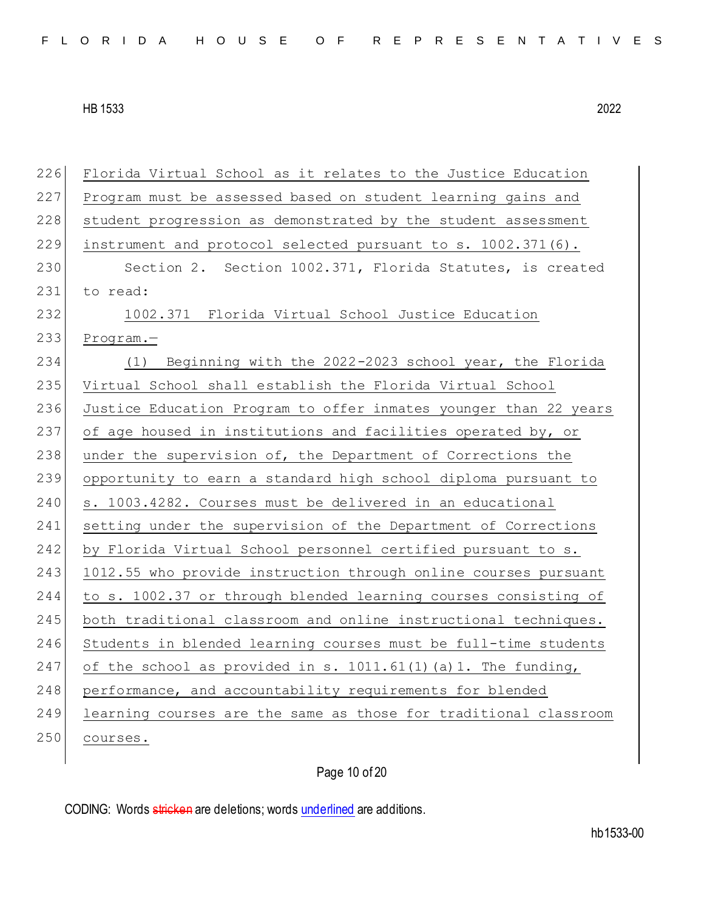226 Florida Virtual School as it relates to the Justice Education 227 Program must be assessed based on student learning gains and 228 student progression as demonstrated by the student assessment 229 instrument and protocol selected pursuant to s. 1002.371(6). 230 Section 2. Section 1002.371, Florida Statutes, is created 231 to read: 232 1002.371 Florida Virtual School Justice Education 233 Program.— 234 (1) Beginning with the 2022-2023 school year, the Florida 235 Virtual School shall establish the Florida Virtual School 236 Justice Education Program to offer inmates younger than 22 years 237 of age housed in institutions and facilities operated by, or 238 under the supervision of, the Department of Corrections the 239 opportunity to earn a standard high school diploma pursuant to 240 s. 1003.4282. Courses must be delivered in an educational 241 setting under the supervision of the Department of Corrections 242 by Florida Virtual School personnel certified pursuant to s. 243 1012.55 who provide instruction through online courses pursuant 244 to s. 1002.37 or through blended learning courses consisting of 245 both traditional classroom and online instructional techniques. 246 Students in blended learning courses must be full-time students 247 of the school as provided in s. 1011.61(1)(a)1. The funding, 248 | performance, and accountability requirements for blended 249 learning courses are the same as those for traditional classroom 250 courses.

Page 10 of 20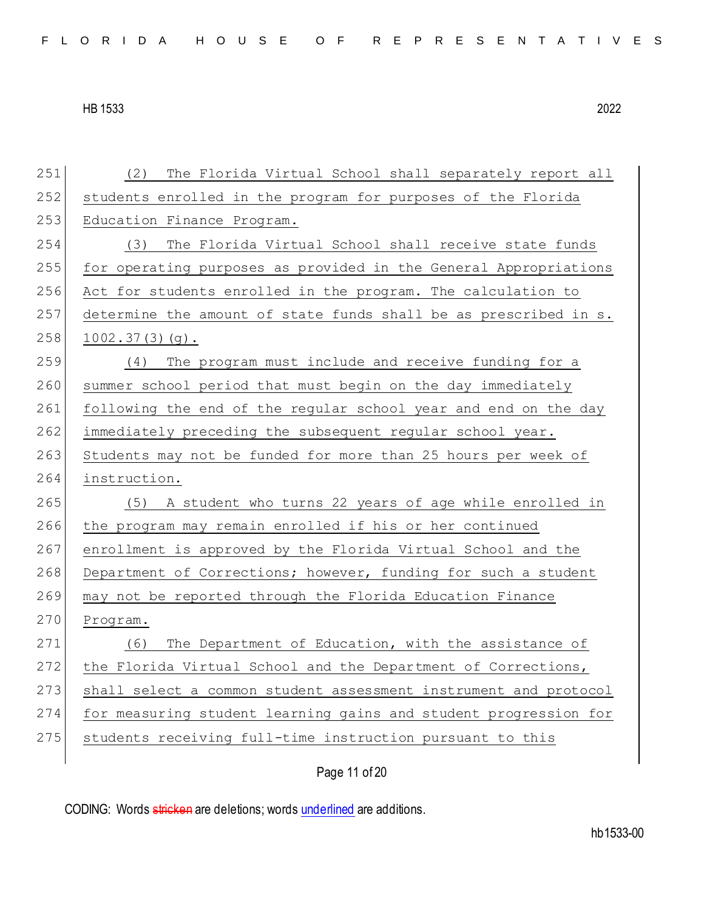| 251 | (2)<br>The Florida Virtual School shall separately report all    |
|-----|------------------------------------------------------------------|
| 252 | students enrolled in the program for purposes of the Florida     |
| 253 | Education Finance Program.                                       |
| 254 | The Florida Virtual School shall receive state funds<br>(3)      |
| 255 | for operating purposes as provided in the General Appropriations |
| 256 | Act for students enrolled in the program. The calculation to     |
| 257 | determine the amount of state funds shall be as prescribed in s. |
| 258 | $1002.37(3)(q)$ .                                                |
| 259 | The program must include and receive funding for a<br>(4)        |
| 260 | summer school period that must begin on the day immediately      |
| 261 | following the end of the regular school year and end on the day  |
| 262 | immediately preceding the subsequent regular school year.        |
| 263 | Students may not be funded for more than 25 hours per week of    |
|     |                                                                  |
| 264 | instruction.                                                     |
| 265 | (5) A student who turns 22 years of age while enrolled in        |
| 266 | the program may remain enrolled if his or her continued          |
| 267 | enrollment is approved by the Florida Virtual School and the     |
| 268 | Department of Corrections; however, funding for such a student   |
| 269 | may not be reported through the Florida Education Finance        |
| 270 | Program.                                                         |
| 271 | The Department of Education, with the assistance of<br>(6)       |
| 272 | the Florida Virtual School and the Department of Corrections,    |
| 273 | shall select a common student assessment instrument and protocol |
| 274 | for measuring student learning gains and student progression for |
| 275 | students receiving full-time instruction pursuant to this        |

Page 11 of 20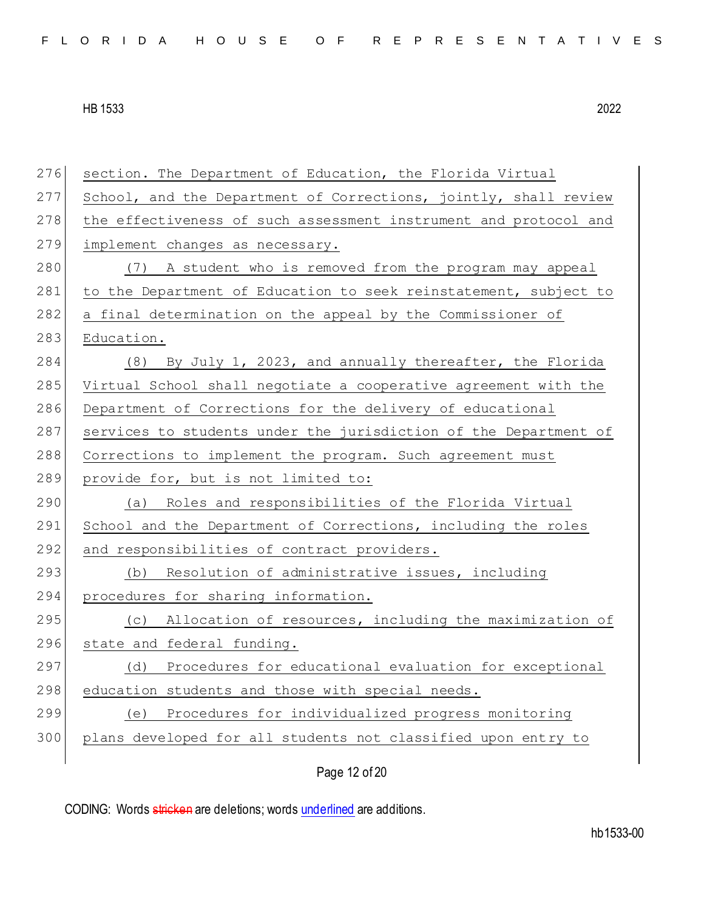276 section. The Department of Education, the Florida Virtual 277 School, and the Department of Corrections, jointly, shall review 278 the effectiveness of such assessment instrument and protocol and 279 implement changes as necessary. 280 (7) A student who is removed from the program may appeal 281 to the Department of Education to seek reinstatement, subject to 282 a final determination on the appeal by the Commissioner of 283 Education. 284 (8) By July 1, 2023, and annually thereafter, the Florida 285 Virtual School shall negotiate a cooperative agreement with the 286 Department of Corrections for the delivery of educational 287 services to students under the jurisdiction of the Department of 288 Corrections to implement the program. Such agreement must 289 provide for, but is not limited to: 290 (a) Roles and responsibilities of the Florida Virtual 291 School and the Department of Corrections, including the roles 292 and responsibilities of contract providers. 293 (b) Resolution of administrative issues, including 294 procedures for sharing information. 295 (c) Allocation of resources, including the maximization of 296 state and federal funding. 297 (d) Procedures for educational evaluation for exceptional 298 education students and those with special needs. 299 (e) Procedures for individualized progress monitoring 300 plans developed for all students not classified upon entry to

Page 12 of 20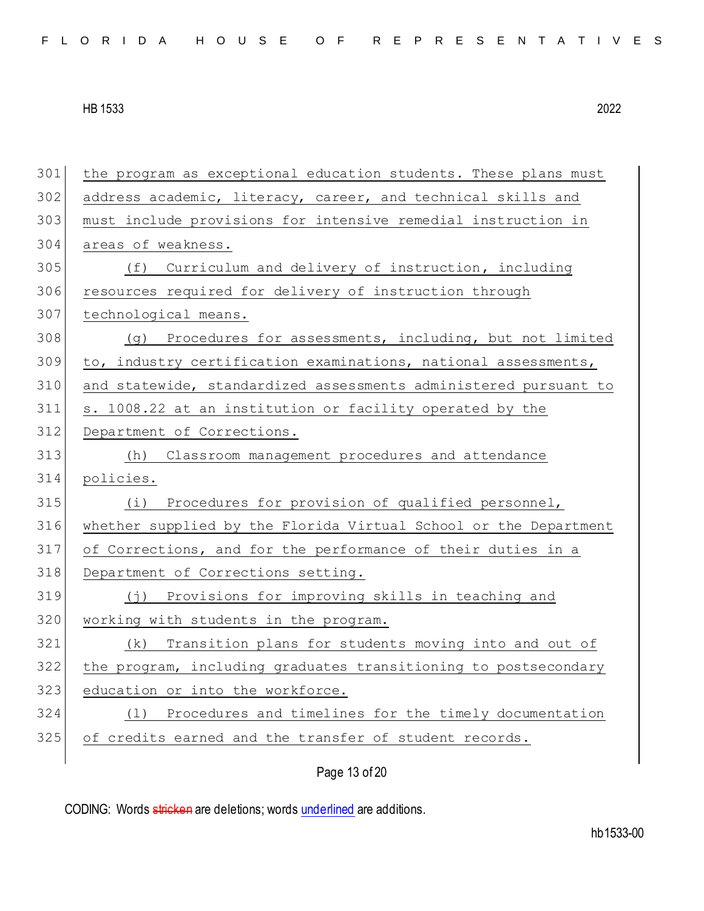| 301 | the program as exceptional education students. These plans must  |
|-----|------------------------------------------------------------------|
| 302 | address academic, literacy, career, and technical skills and     |
| 303 | must include provisions for intensive remedial instruction in    |
| 304 | areas of weakness.                                               |
| 305 | Curriculum and delivery of instruction, including<br>(f)         |
| 306 | resources required for delivery of instruction through           |
| 307 | technological means.                                             |
| 308 | (g) Procedures for assessments, including, but not limited       |
| 309 | to, industry certification examinations, national assessments,   |
| 310 | and statewide, standardized assessments administered pursuant to |
| 311 | s. 1008.22 at an institution or facility operated by the         |
| 312 | Department of Corrections.                                       |
| 313 | Classroom management procedures and attendance<br>(h)            |
| 314 | policies.                                                        |
| 315 | (i) Procedures for provision of qualified personnel,             |
| 316 | whether supplied by the Florida Virtual School or the Department |
| 317 | of Corrections, and for the performance of their duties in a     |
| 318 | Department of Corrections setting.                               |
| 319 | Provisions for improving skills in teaching and<br>( ブ )         |
| 320 | working with students in the program.                            |
| 321 | Transition plans for students moving into and out of<br>(k)      |
| 322 | the program, including graduates transitioning to postsecondary  |
| 323 | education or into the workforce.                                 |
| 324 | Procedures and timelines for the timely documentation<br>(1)     |
| 325 | of credits earned and the transfer of student records.           |
|     |                                                                  |

Page 13 of 20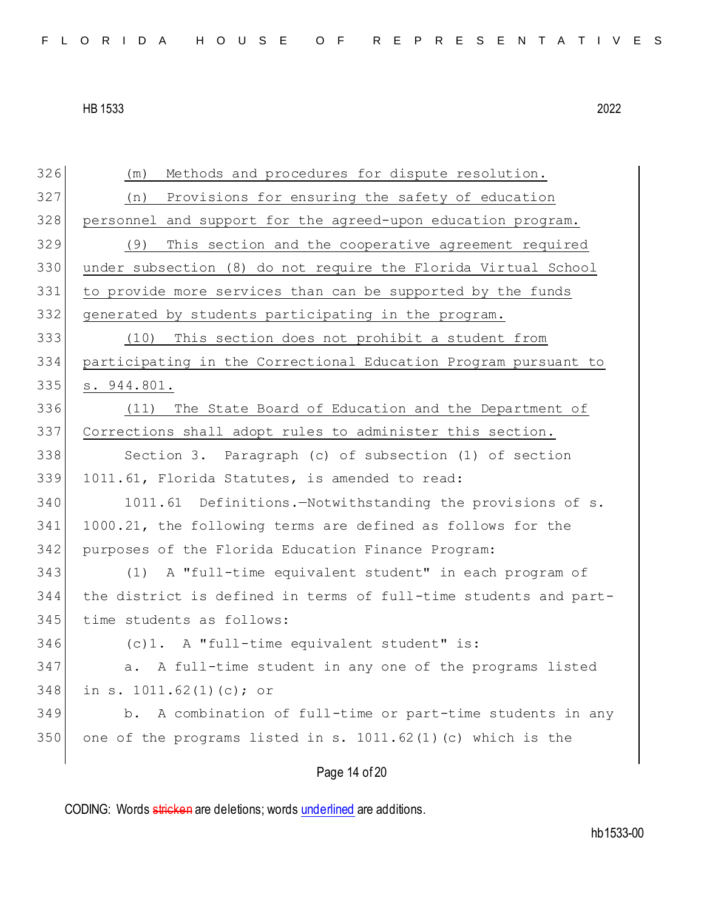| 326 | Methods and procedures for dispute resolution.<br>(m)            |
|-----|------------------------------------------------------------------|
| 327 | Provisions for ensuring the safety of education<br>(n)           |
| 328 | personnel and support for the agreed-upon education program.     |
| 329 | This section and the cooperative agreement required<br>(9)       |
| 330 | under subsection (8) do not require the Florida Virtual School   |
| 331 | to provide more services than can be supported by the funds      |
| 332 | generated by students participating in the program.              |
| 333 | (10) This section does not prohibit a student from               |
| 334 | participating in the Correctional Education Program pursuant to  |
| 335 | s. 944.801.                                                      |
| 336 | The State Board of Education and the Department of<br>(11)       |
| 337 | Corrections shall adopt rules to administer this section.        |
| 338 | Section 3. Paragraph (c) of subsection (1) of section            |
| 339 | 1011.61, Florida Statutes, is amended to read:                   |
| 340 | 1011.61 Definitions.-Notwithstanding the provisions of s.        |
| 341 | 1000.21, the following terms are defined as follows for the      |
| 342 | purposes of the Florida Education Finance Program:               |
| 343 | A "full-time equivalent student" in each program of<br>(1)       |
| 344 | the district is defined in terms of full-time students and part- |
| 345 | time students as follows:                                        |
| 346 | (c)1. A "full-time equivalent student" is:                       |
| 347 | a. A full-time student in any one of the programs listed         |
| 348 | in s. 1011.62(1)(c); or                                          |
| 349 | A combination of full-time or part-time students in any<br>$b$ . |
| 350 | one of the programs listed in s. $1011.62(1)$ (c) which is the   |
|     | Page 14 of 20                                                    |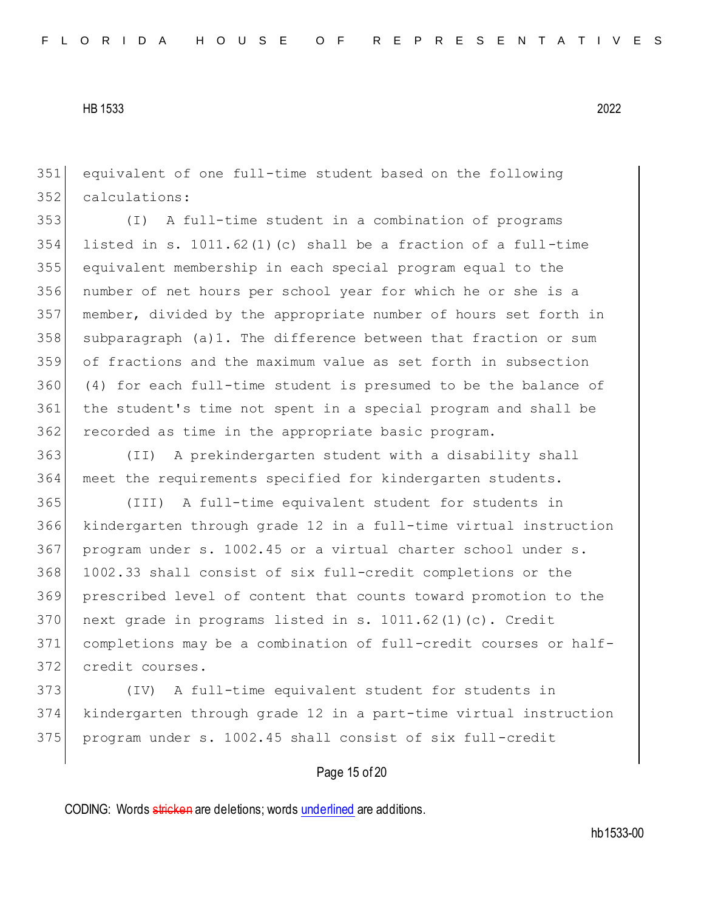equivalent of one full-time student based on the following calculations:

 (I) A full-time student in a combination of programs 354 listed in s. 1011.62(1)(c) shall be a fraction of a full-time equivalent membership in each special program equal to the number of net hours per school year for which he or she is a member, divided by the appropriate number of hours set forth in subparagraph (a)1. The difference between that fraction or sum of fractions and the maximum value as set forth in subsection (4) for each full-time student is presumed to be the balance of the student's time not spent in a special program and shall be recorded as time in the appropriate basic program.

 (II) A prekindergarten student with a disability shall meet the requirements specified for kindergarten students.

 (III) A full-time equivalent student for students in kindergarten through grade 12 in a full-time virtual instruction program under s. 1002.45 or a virtual charter school under s. 1002.33 shall consist of six full-credit completions or the prescribed level of content that counts toward promotion to the 370 next grade in programs listed in s. 1011.62(1)(c). Credit completions may be a combination of full-credit courses or half-credit courses.

 (IV) A full-time equivalent student for students in kindergarten through grade 12 in a part-time virtual instruction program under s. 1002.45 shall consist of six full-credit

### Page 15 of 20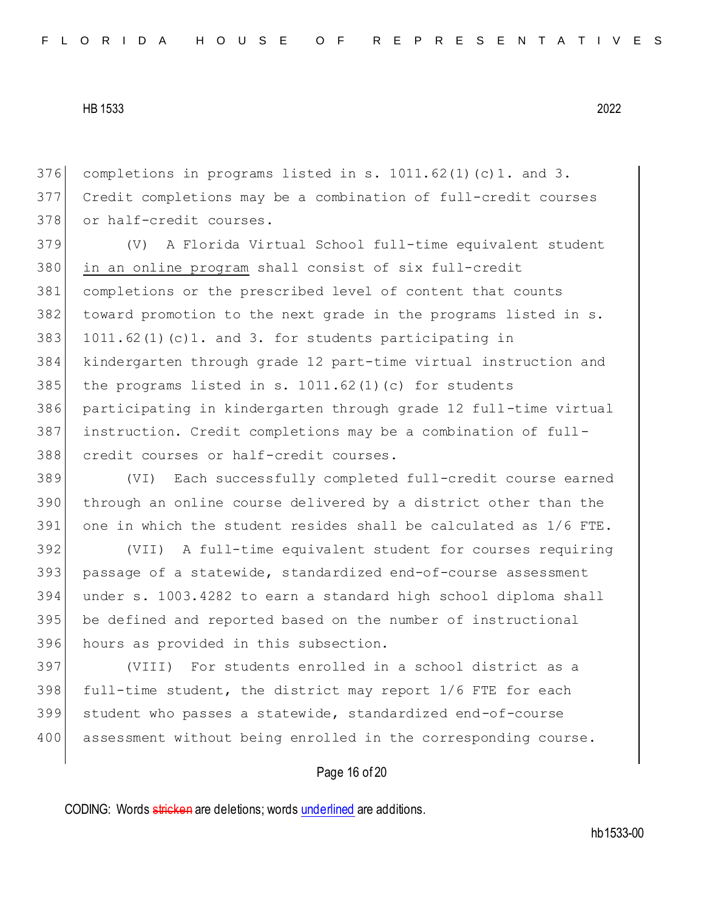376 completions in programs listed in s.  $1011.62(1)(c)1.$  and 3. Credit completions may be a combination of full-credit courses 378 or half-credit courses.

 (V) A Florida Virtual School full-time equivalent student in an online program shall consist of six full-credit completions or the prescribed level of content that counts toward promotion to the next grade in the programs listed in s. 383 1011.62(1)(c)1. and 3. for students participating in kindergarten through grade 12 part-time virtual instruction and 385 the programs listed in s.  $1011.62(1)(c)$  for students participating in kindergarten through grade 12 full-time virtual instruction. Credit completions may be a combination of full-credit courses or half-credit courses.

 (VI) Each successfully completed full-credit course earned through an online course delivered by a district other than the one in which the student resides shall be calculated as 1/6 FTE.

 (VII) A full-time equivalent student for courses requiring passage of a statewide, standardized end-of-course assessment under s. 1003.4282 to earn a standard high school diploma shall 395 be defined and reported based on the number of instructional hours as provided in this subsection.

 (VIII) For students enrolled in a school district as a full-time student, the district may report 1/6 FTE for each student who passes a statewide, standardized end-of-course 400 assessment without being enrolled in the corresponding course.

# Page 16 of 20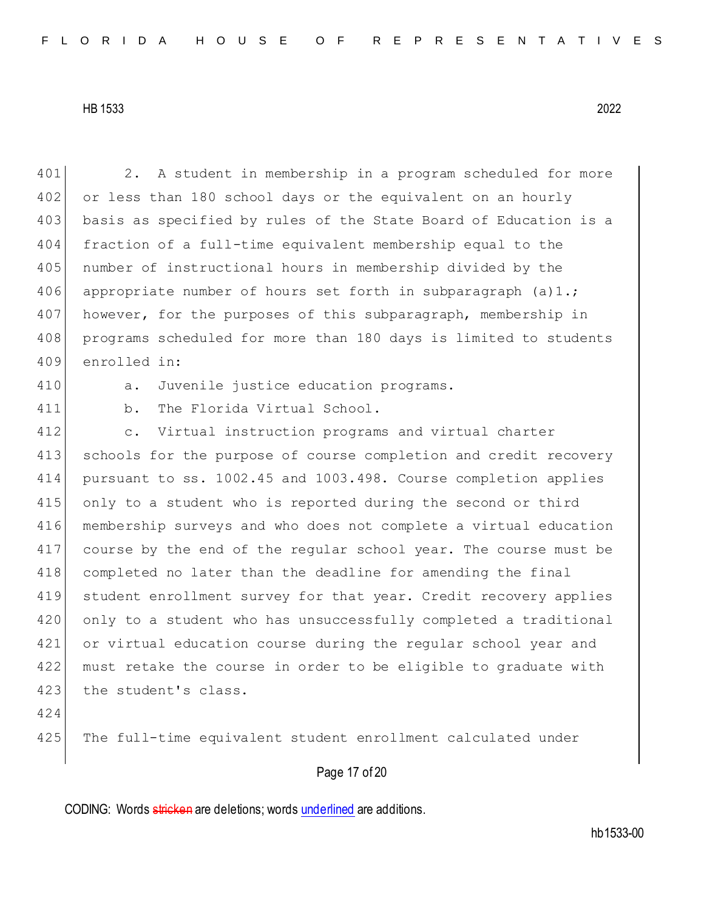401 2. A student in membership in a program scheduled for more 402 or less than 180 school days or the equivalent on an hourly 403 basis as specified by rules of the State Board of Education is a 404 fraction of a full-time equivalent membership equal to the 405 number of instructional hours in membership divided by the 406 appropriate number of hours set forth in subparagraph  $(a)1$ .; 407 however, for the purposes of this subparagraph, membership in 408 programs scheduled for more than 180 days is limited to students 409 enrolled in: 410 a. Juvenile justice education programs. 411 b. The Florida Virtual School. 412 c. Virtual instruction programs and virtual charter 413 schools for the purpose of course completion and credit recovery 414 pursuant to ss. 1002.45 and 1003.498. Course completion applies 415 only to a student who is reported during the second or third 416 membership surveys and who does not complete a virtual education 417 course by the end of the regular school year. The course must be 418 completed no later than the deadline for amending the final 419 student enrollment survey for that year. Credit recovery applies 420 only to a student who has unsuccessfully completed a traditional 421 or virtual education course during the regular school year and 422 must retake the course in order to be eligible to graduate with 423 the student's class. 424 425 The full-time equivalent student enrollment calculated under

# Page 17 of 20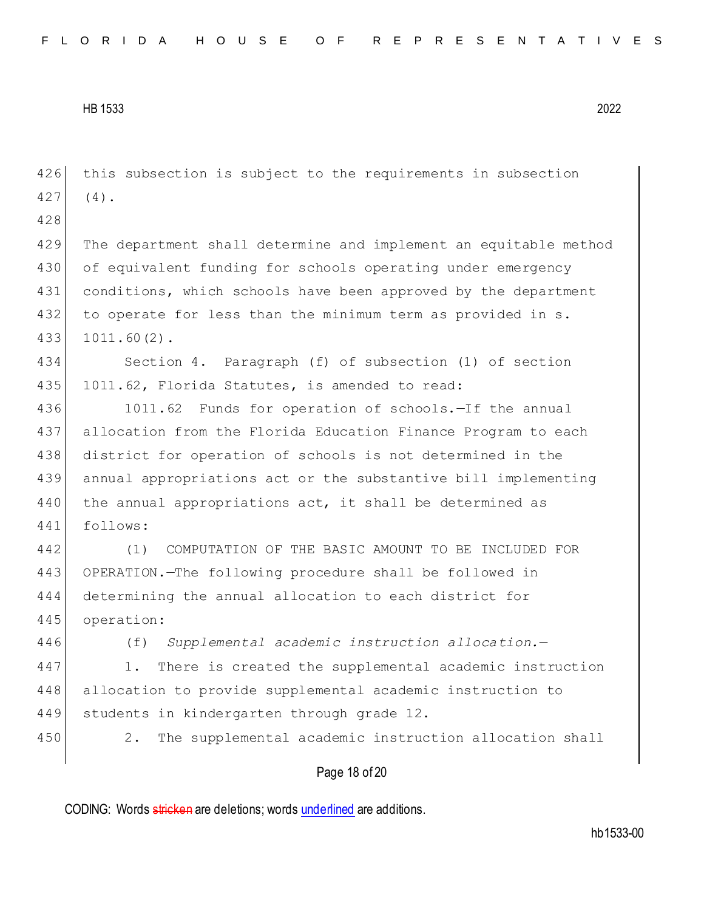426 this subsection is subject to the requirements in subsection  $427$  (4).

428

429 The department shall determine and implement an equitable method 430 of equivalent funding for schools operating under emergency 431 conditions, which schools have been approved by the department 432 to operate for less than the minimum term as provided in s. 433 1011.60(2).

434 Section 4. Paragraph (f) of subsection (1) of section 435 1011.62, Florida Statutes, is amended to read:

436 1011.62 Funds for operation of schools.—If the annual 437 allocation from the Florida Education Finance Program to each 438 district for operation of schools is not determined in the 439 annual appropriations act or the substantive bill implementing 440 the annual appropriations act, it shall be determined as 441 follows:

 (1) COMPUTATION OF THE BASIC AMOUNT TO BE INCLUDED FOR OPERATION.—The following procedure shall be followed in determining the annual allocation to each district for operation:

446 (f) *Supplemental academic instruction allocation.*—

447 1. There is created the supplemental academic instruction 448 allocation to provide supplemental academic instruction to 449 students in kindergarten through grade 12.

450 2. The supplemental academic instruction allocation shall

# Page 18 of 20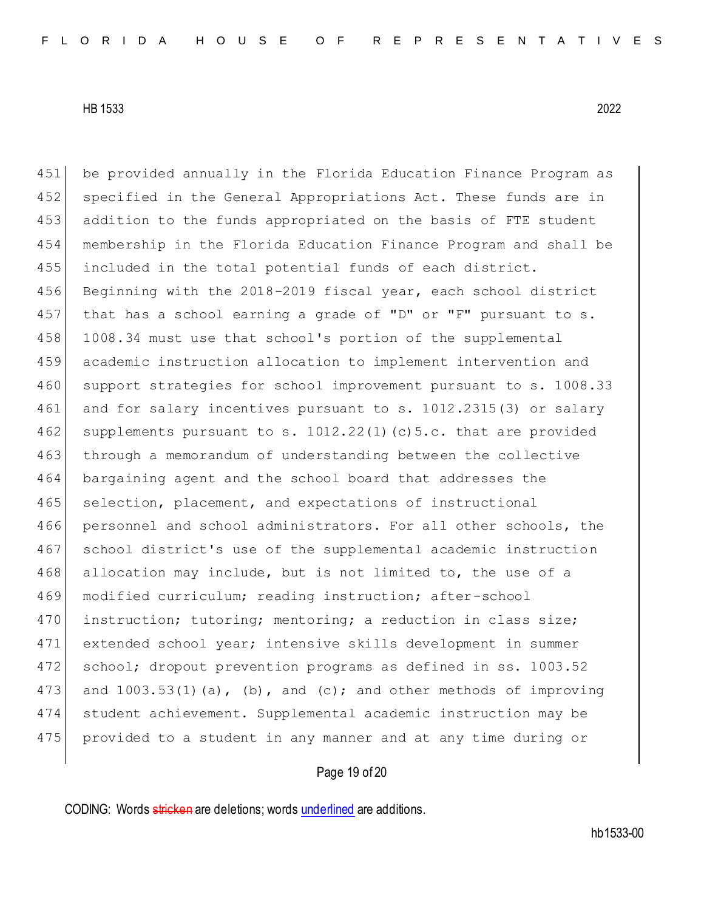451 be provided annually in the Florida Education Finance Program as 452 specified in the General Appropriations Act. These funds are in 453 addition to the funds appropriated on the basis of FTE student 454 membership in the Florida Education Finance Program and shall be 455 included in the total potential funds of each district. 456 Beginning with the 2018-2019 fiscal year, each school district 457 that has a school earning a grade of "D" or "F" pursuant to s. 458 1008.34 must use that school's portion of the supplemental 459 academic instruction allocation to implement intervention and 460 support strategies for school improvement pursuant to s. 1008.33 461 and for salary incentives pursuant to s. 1012.2315(3) or salary 462 supplements pursuant to s.  $1012.22(1)$  (c)  $5.c.$  that are provided 463 through a memorandum of understanding between the collective 464 bargaining agent and the school board that addresses the 465 selection, placement, and expectations of instructional 466 personnel and school administrators. For all other schools, the 467 school district's use of the supplemental academic instruction 468 allocation may include, but is not limited to, the use of a 469 modified curriculum; reading instruction; after-school 470 instruction; tutoring; mentoring; a reduction in class size; 471 extended school year; intensive skills development in summer 472 school; dropout prevention programs as defined in ss. 1003.52 473 and 1003.53(1)(a), (b), and (c); and other methods of improving 474 student achievement. Supplemental academic instruction may be 475 provided to a student in any manner and at any time during or

# Page 19 of 20